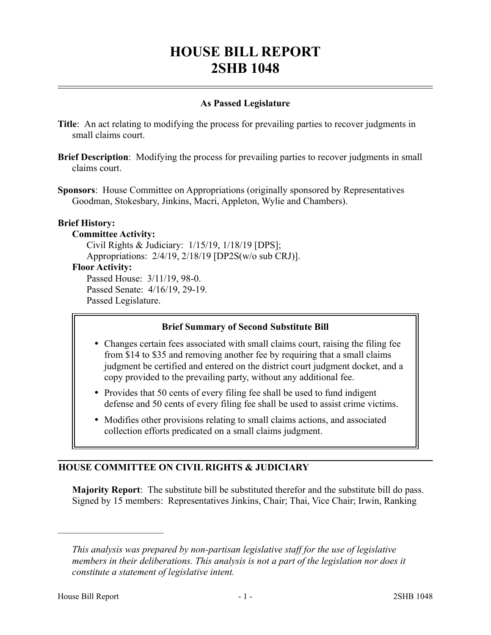# **HOUSE BILL REPORT 2SHB 1048**

# **As Passed Legislature**

- **Title**: An act relating to modifying the process for prevailing parties to recover judgments in small claims court.
- **Brief Description**: Modifying the process for prevailing parties to recover judgments in small claims court.
- **Sponsors**: House Committee on Appropriations (originally sponsored by Representatives Goodman, Stokesbary, Jinkins, Macri, Appleton, Wylie and Chambers).

## **Brief History:**

## **Committee Activity:**

Civil Rights & Judiciary: 1/15/19, 1/18/19 [DPS]; Appropriations: 2/4/19, 2/18/19 [DP2S(w/o sub CRJ)].

#### **Floor Activity:**

Passed House: 3/11/19, 98-0. Passed Senate: 4/16/19, 29-19. Passed Legislature.

# **Brief Summary of Second Substitute Bill**

- Changes certain fees associated with small claims court, raising the filing fee from \$14 to \$35 and removing another fee by requiring that a small claims judgment be certified and entered on the district court judgment docket, and a copy provided to the prevailing party, without any additional fee.
- Provides that 50 cents of every filing fee shall be used to fund indigent defense and 50 cents of every filing fee shall be used to assist crime victims.
- Modifies other provisions relating to small claims actions, and associated collection efforts predicated on a small claims judgment.

# **HOUSE COMMITTEE ON CIVIL RIGHTS & JUDICIARY**

**Majority Report**: The substitute bill be substituted therefor and the substitute bill do pass. Signed by 15 members: Representatives Jinkins, Chair; Thai, Vice Chair; Irwin, Ranking

––––––––––––––––––––––

*This analysis was prepared by non-partisan legislative staff for the use of legislative members in their deliberations. This analysis is not a part of the legislation nor does it constitute a statement of legislative intent.*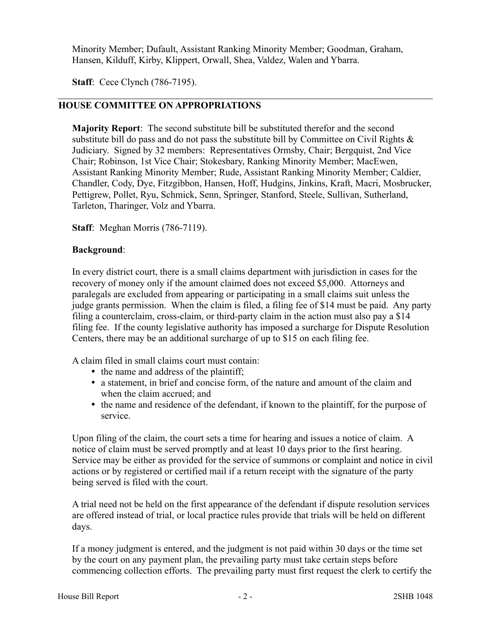Minority Member; Dufault, Assistant Ranking Minority Member; Goodman, Graham, Hansen, Kilduff, Kirby, Klippert, Orwall, Shea, Valdez, Walen and Ybarra.

**Staff**: Cece Clynch (786-7195).

# **HOUSE COMMITTEE ON APPROPRIATIONS**

**Majority Report**: The second substitute bill be substituted therefor and the second substitute bill do pass and do not pass the substitute bill by Committee on Civil Rights  $\&$ Judiciary. Signed by 32 members: Representatives Ormsby, Chair; Bergquist, 2nd Vice Chair; Robinson, 1st Vice Chair; Stokesbary, Ranking Minority Member; MacEwen, Assistant Ranking Minority Member; Rude, Assistant Ranking Minority Member; Caldier, Chandler, Cody, Dye, Fitzgibbon, Hansen, Hoff, Hudgins, Jinkins, Kraft, Macri, Mosbrucker, Pettigrew, Pollet, Ryu, Schmick, Senn, Springer, Stanford, Steele, Sullivan, Sutherland, Tarleton, Tharinger, Volz and Ybarra.

**Staff**: Meghan Morris (786-7119).

#### **Background**:

In every district court, there is a small claims department with jurisdiction in cases for the recovery of money only if the amount claimed does not exceed \$5,000. Attorneys and paralegals are excluded from appearing or participating in a small claims suit unless the judge grants permission. When the claim is filed, a filing fee of \$14 must be paid. Any party filing a counterclaim, cross-claim, or third-party claim in the action must also pay a \$14 filing fee. If the county legislative authority has imposed a surcharge for Dispute Resolution Centers, there may be an additional surcharge of up to \$15 on each filing fee.

A claim filed in small claims court must contain:

- the name and address of the plaintiff;
- a statement, in brief and concise form, of the nature and amount of the claim and when the claim accrued; and
- the name and residence of the defendant, if known to the plaintiff, for the purpose of service.

Upon filing of the claim, the court sets a time for hearing and issues a notice of claim. A notice of claim must be served promptly and at least 10 days prior to the first hearing. Service may be either as provided for the service of summons or complaint and notice in civil actions or by registered or certified mail if a return receipt with the signature of the party being served is filed with the court.

A trial need not be held on the first appearance of the defendant if dispute resolution services are offered instead of trial, or local practice rules provide that trials will be held on different days.

If a money judgment is entered, and the judgment is not paid within 30 days or the time set by the court on any payment plan, the prevailing party must take certain steps before commencing collection efforts. The prevailing party must first request the clerk to certify the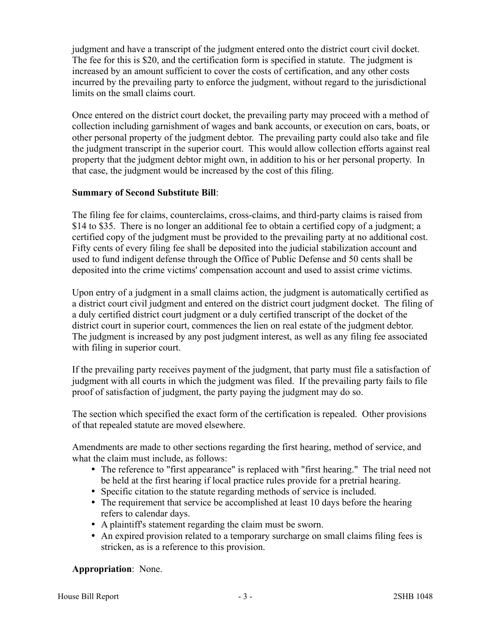judgment and have a transcript of the judgment entered onto the district court civil docket. The fee for this is \$20, and the certification form is specified in statute. The judgment is increased by an amount sufficient to cover the costs of certification, and any other costs incurred by the prevailing party to enforce the judgment, without regard to the jurisdictional limits on the small claims court.

Once entered on the district court docket, the prevailing party may proceed with a method of collection including garnishment of wages and bank accounts, or execution on cars, boats, or other personal property of the judgment debtor. The prevailing party could also take and file the judgment transcript in the superior court. This would allow collection efforts against real property that the judgment debtor might own, in addition to his or her personal property. In that case, the judgment would be increased by the cost of this filing.

## **Summary of Second Substitute Bill**:

The filing fee for claims, counterclaims, cross-claims, and third-party claims is raised from \$14 to \$35. There is no longer an additional fee to obtain a certified copy of a judgment; a certified copy of the judgment must be provided to the prevailing party at no additional cost. Fifty cents of every filing fee shall be deposited into the judicial stabilization account and used to fund indigent defense through the Office of Public Defense and 50 cents shall be deposited into the crime victims' compensation account and used to assist crime victims.

Upon entry of a judgment in a small claims action, the judgment is automatically certified as a district court civil judgment and entered on the district court judgment docket. The filing of a duly certified district court judgment or a duly certified transcript of the docket of the district court in superior court, commences the lien on real estate of the judgment debtor. The judgment is increased by any post judgment interest, as well as any filing fee associated with filing in superior court.

If the prevailing party receives payment of the judgment, that party must file a satisfaction of judgment with all courts in which the judgment was filed. If the prevailing party fails to file proof of satisfaction of judgment, the party paying the judgment may do so.

The section which specified the exact form of the certification is repealed. Other provisions of that repealed statute are moved elsewhere.

Amendments are made to other sections regarding the first hearing, method of service, and what the claim must include, as follows:

- The reference to "first appearance" is replaced with "first hearing." The trial need not be held at the first hearing if local practice rules provide for a pretrial hearing.
- Specific citation to the statute regarding methods of service is included.
- The requirement that service be accomplished at least 10 days before the hearing refers to calendar days.
- A plaintiff's statement regarding the claim must be sworn.
- An expired provision related to a temporary surcharge on small claims filing fees is stricken, as is a reference to this provision.

**Appropriation**: None.